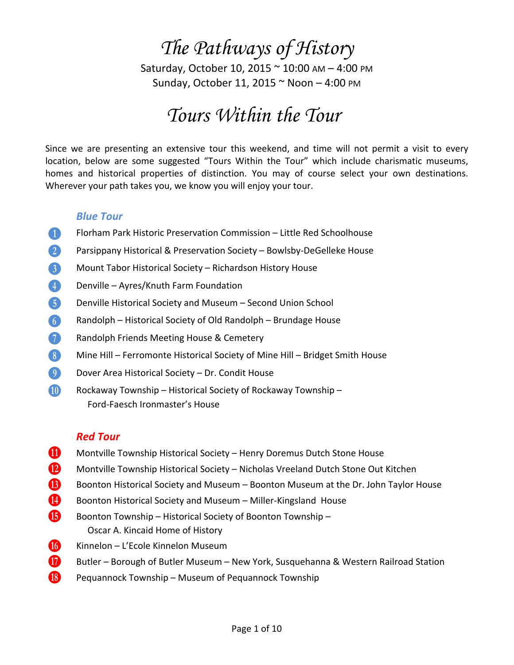# *The Pathways of History*

Saturday, October 10, 2015 ~ 10:00 AM – 4:00 PM Sunday, October 11, 2015 ~ Noon – 4:00 PM

# *Tours Within the Tour*

Since we are presenting an extensive tour this weekend, and time will not permit a visit to every location, below are some suggested "Tours Within the Tour" which include charismatic museums, homes and historical properties of distinction. You may of course select your own destinations. Wherever your path takes you, we know you will enjoy your tour.

#### *Blue Tour*

- **B Florham Park Historic Preservation Commission Little Red Schoolhouse**
- **2** Parsippany Historical & Preservation Society Bowlsby-DeGelleke House
- $\beta$  Mount Tabor Historical Society Richardson History House
- $\left(4\right)$  Denville Ayres/Knuth Farm Foundation
- **F** Denville Historical Society and Museum Second Union School
- **G** Randolph Historical Society of Old Randolph Brundage House
- **H** Randolph Friends Meeting House & Cemetery
- $\boxed{8}$  Mine Hill Ferromonte Historical Society of Mine Hill Bridget Smith House
- **J Dover Area Historical Society Dr. Condit House**
- **K Rockaway Township Historical Society of Rockaway Township** Ford‐Faesch Ironmaster's House

#### *Red Tour*

- **11** Montville Township Historical Society Henry Doremus Dutch Stone House
- **Montville Township Historical Society Nicholas Vreeland Dutch Stone Out Kitchen**
- N Boonton Historical Society and Museum Boonton Museum at the Dr. John Taylor House
- Conton Historical Society and Museum Miller-Kingsland House
- **B** Boonton Township Historical Society of Boonton Township Oscar A. Kincaid Home of History
- Q Kinnelon L'Ecole Kinnelon Museum
- R Butler Borough of Butler Museum New York, Susquehanna & Western Railroad Station
- $\bigotimes$  Pequannock Township Museum of Pequannock Township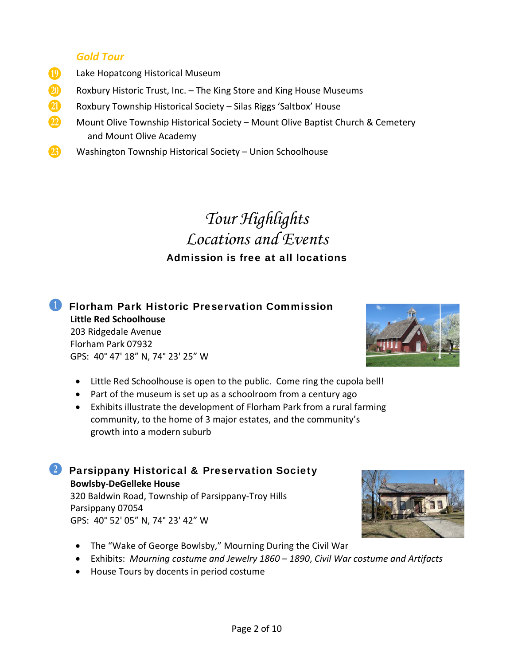#### *Gold Tour*

- **TO** Lake Hopatcong Historical Museum
- **20** Roxbury Historic Trust, Inc. The King Store and King House Museums
- **21** Roxbury Township Historical Society Silas Riggs 'Saltbox' House
- W Mount Olive Township Historical Society Mount Olive Baptist Church & Cemetery and Mount Olive Academy
- **23** Washington Township Historical Society Union Schoolhouse

# *Tour Highlights Locations and Events* Admission is free at all locations

**B** Florham Park Historic Preservation Commission  **Little Red Schoolhouse** 203 Ridgedale Avenue Florham Park 07932 GPS: 40° 47' 18" N, 74° 23' 25" W

- Little Red Schoolhouse is open to the public. Come ring the cupola bell!
- Part of the museum is set up as a schoolroom from a century ago
- Exhibits illustrate the development of Florham Park from a rural farming community, to the home of 3 major estates, and the community's growth into a modern suburb

**2 Parsippany Historical & Preservation Society Bowlsby‐DeGelleke House** 320 Baldwin Road, Township of Parsippany‐Troy Hills Parsippany 07054 GPS: 40° 52' 05" N, 74° 23' 42" W

- The "Wake of George Bowlsby," Mourning During the Civil War
- Exhibits: *Mourning costume and Jewelry 1860 – 1890*, *Civil War costume and Artifacts*
- House Tours by docents in period costume



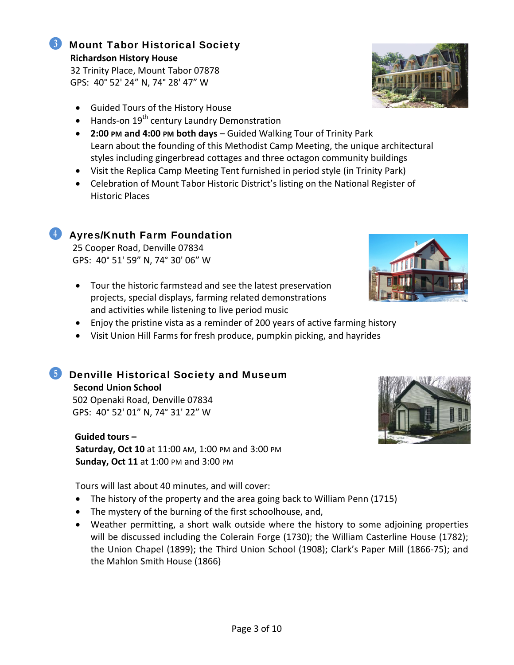#### **6** Mount Tabor Historical Society  **Richardson History House**

32 Trinity Place, Mount Tabor 07878 GPS: 40° 52' 24" N, 74° 28' 47" W

- Guided Tours of the History House
- Hands-on 19<sup>th</sup> century Laundry Demonstration
- **2:00 PM and 4:00 PM both days** Guided Walking Tour of Trinity Park Learn about the founding of this Methodist Camp Meeting, the unique architectural styles including gingerbread cottages and three octagon community buildings
- Visit the Replica Camp Meeting Tent furnished in period style (in Trinity Park)
- Celebration of Mount Tabor Historic District's listing on the National Register of Historic Places

## **E** Ayres/Knuth Farm Foundation

25 Cooper Road, Denville 07834 GPS: 40° 51' 59" N, 74° 30' 06" W

- Tour the historic farmstead and see the latest preservation projects, special displays, farming related demonstrations and activities while listening to live period music
- Enjoy the pristine vista as a reminder of 200 years of active farming history
- Visit Union Hill Farms for fresh produce, pumpkin picking, and hayrides

## *b* Denville Historical Society and Museum

 **Second Union School** 502 Openaki Road, Denville 07834 GPS: 40° 52' 01" N, 74° 31' 22" W

 **Guided tours – Saturday, Oct 10** at 11:00 AM, 1:00 PM and 3:00 PM **Sunday, Oct 11** at 1:00 PM and 3:00 PM

Tours will last about 40 minutes, and will cover:

- The history of the property and the area going back to William Penn (1715)
- The mystery of the burning of the first schoolhouse, and,
- Weather permitting, a short walk outside where the history to some adjoining properties will be discussed including the Colerain Forge (1730); the William Casterline House (1782); the Union Chapel (1899); the Third Union School (1908); Clark's Paper Mill (1866‐75); and the Mahlon Smith House (1866)







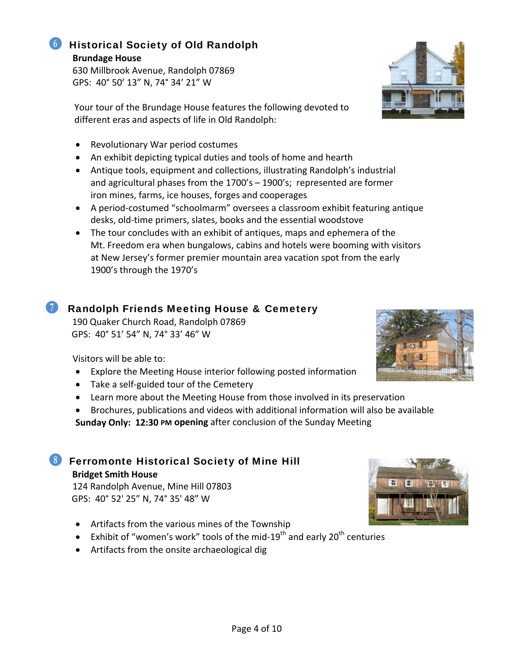#### GHistorical Society of Old Randolph  **Brundage House**

 630 Millbrook Avenue, Randolph 07869 GPS: 40° 50' 13" N, 74° 34' 21" W

 Your tour of the Brundage House features the following devoted to different eras and aspects of life in Old Randolph:

- Revolutionary War period costumes
- An exhibit depicting typical duties and tools of home and hearth
- Antique tools, equipment and collections, illustrating Randolph's industrial and agricultural phases from the 1700's – 1900's; represented are former iron mines, farms, ice houses, forges and cooperages
- A period-costumed "schoolmarm" oversees a classroom exhibit featuring antique desks, old‐time primers, slates, books and the essential woodstove
- The tour concludes with an exhibit of antiques, maps and ephemera of the Mt. Freedom era when bungalows, cabins and hotels were booming with visitors at New Jersey's former premier mountain area vacation spot from the early 1900's through the 1970's

## Randolph Friends Meeting House & Cemetery

 190 Quaker Church Road, Randolph 07869 GPS: 40° 51' 54" N, 74° 33' 46" W

Visitors will be able to:

- Explore the Meeting House interior following posted information
- Take a self‐guided tour of the Cemetery
- Learn more about the Meeting House from those involved in its preservation
- Brochures, publications and videos with additional information will also be available

**Sunday Only: 12:30 PM opening** after conclusion of the Sunday Meeting

## **8** Ferromonte Historical Society of Mine Hill **Bridget Smith House**

124 Randolph Avenue, Mine Hill 07803 GPS: 40° 52' 25" N, 74° 35' 48" W

- Artifacts from the various mines of the Township
- Exhibit of "women's work" tools of the mid-19<sup>th</sup> and early 20<sup>th</sup> centuries
- Artifacts from the onsite archaeological dig





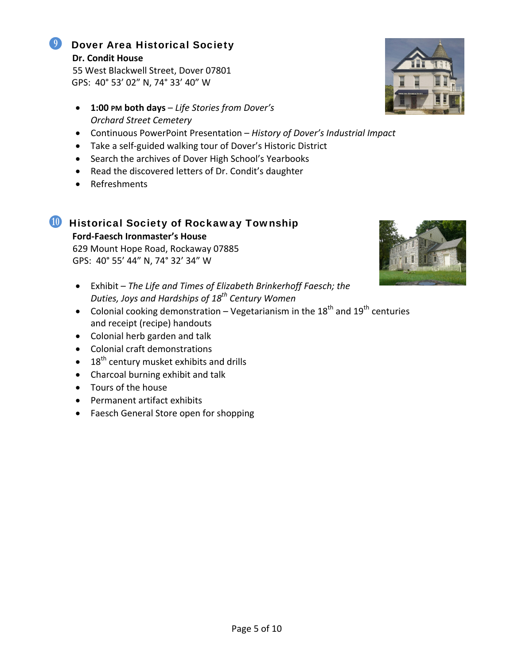#### **9** Dover Area Historical Society **Dr. Condit House**

55 West Blackwell Street, Dover 07801 GPS: 40° 53' 02" N, 74° 33' 40" W

- **1:00 PM both days** *Life Stories from Dover's Orchard Street Cemetery*
- Continuous PowerPoint Presentation *History of Dover's Industrial Impact*
- Take a self‐guided walking tour of Dover's Historic District
- Search the archives of Dover High School's Yearbooks
- Read the discovered letters of Dr. Condit's daughter
- Refreshments

# **M** Historical Society of Rockaway Township

 **Ford‐Faesch Ironmaster's House**

 629 Mount Hope Road, Rockaway 07885 GPS: 40° 55' 44" N, 74° 32' 34" W

- Exhibit *The Life and Times of Elizabeth Brinkerhoff Faesch; the Duties, Joys and Hardships of 18th Century Women*
- Colonial cooking demonstration Vegetarianism in the  $18<sup>th</sup>$  and  $19<sup>th</sup>$  centuries and receipt (recipe) handouts
- Colonial herb garden and talk
- Colonial craft demonstrations
- $\bullet$  18<sup>th</sup> century musket exhibits and drills
- Charcoal burning exhibit and talk
- Tours of the house
- Permanent artifact exhibits
- Faesch General Store open for shopping



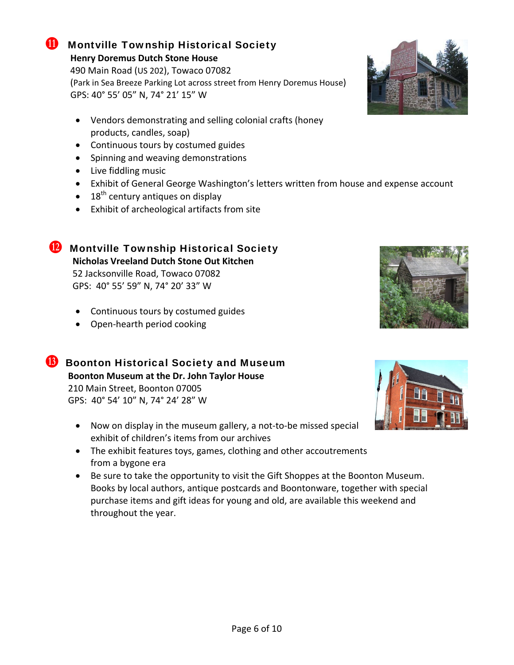#### **U** Montville Township Historical Society  **Henry Doremus Dutch Stone House**

 490 Main Road (US 202), Towaco 07082 (Park in Sea Breeze Parking Lot across street from Henry Doremus House) GPS: 40° 55' 05" N, 74° 21' 15" W

- Vendors demonstrating and selling colonial crafts (honey products, candles, soap)
- Continuous tours by costumed guides
- Spinning and weaving demonstrations
- Live fiddling music
- Exhibit of General George Washington's letters written from house and expense account
- $\bullet$  18<sup>th</sup> century antiques on display
- Exhibit of archeological artifacts from site

## **Montville Township Historical Society**

 **Nicholas Vreeland Dutch Stone Out Kitchen** 52 Jacksonville Road, Towaco 07082 GPS: 40° 55' 59" N, 74° 20' 33" W

- Continuous tours by costumed guides
- Open-hearth period cooking

**B** Boonton Historical Society and Museum  **Boonton Museum at the Dr. John Taylor House** 210 Main Street, Boonton 07005 GPS: 40° 54' 10" N, 74° 24' 28" W

- Now on display in the museum gallery, a not-to-be missed special exhibit of children's items from our archives
- The exhibit features toys, games, clothing and other accoutrements from a bygone era
- Be sure to take the opportunity to visit the Gift Shoppes at the Boonton Museum. Books by local authors, antique postcards and Boontonware, together with special purchase items and gift ideas for young and old, are available this weekend and throughout the year.





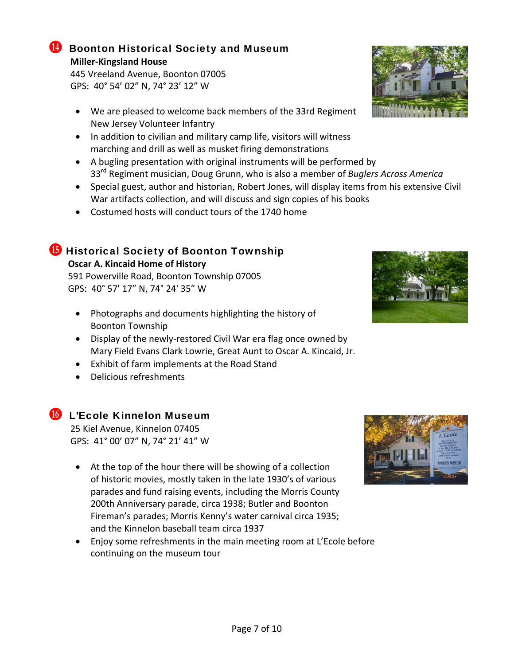#### **Boonton Historical Society and Museum Miller‐Kingsland House**

 445 Vreeland Avenue, Boonton 07005 GPS: 40° 54' 02" N, 74° 23' 12" W

- We are pleased to welcome back members of the 33rd Regiment New Jersey Volunteer Infantry
- In addition to civilian and military camp life, visitors will witness marching and drill as well as musket firing demonstrations
- A bugling presentation with original instruments will be performed by 33rd Regiment musician, Doug Grunn, who is also a member of *Buglers Across America*
- Special guest, author and historian, Robert Jones, will display items from his extensive Civil War artifacts collection, and will discuss and sign copies of his books
- Costumed hosts will conduct tours of the 1740 home

## **P** Historical Society of Boonton Township

#### **Oscar A. Kincaid Home of History**

 591 Powerville Road, Boonton Township 07005 GPS: 40° 57' 17" N, 74° 24' 35" W

- Photographs and documents highlighting the history of Boonton Township
- Display of the newly-restored Civil War era flag once owned by Mary Field Evans Clark Lowrie, Great Aunt to Oscar A. Kincaid, Jr.
- Exhibit of farm implements at the Road Stand
- Delicious refreshments

## **Cole Kinnelon Museum**

 25 Kiel Avenue, Kinnelon 07405 GPS: 41° 00' 07" N, 74° 21' 41" W

- At the top of the hour there will be showing of a collection of historic movies, mostly taken in the late 1930's of various parades and fund raising events, including the Morris County 200th Anniversary parade, circa 1938; Butler and Boonton Fireman's parades; Morris Kenny's water carnival circa 1935; and the Kinnelon baseball team circa 1937
- Enjoy some refreshments in the main meeting room at L'Ecole before continuing on the museum tour





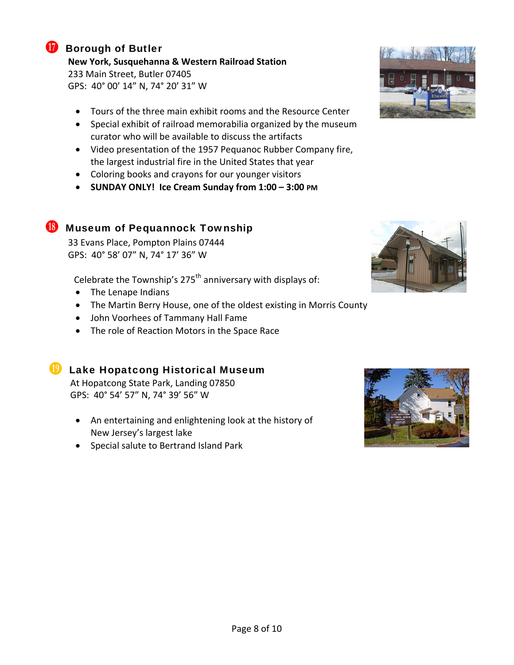

#### **R** Borough of Butler

**New York, Susquehanna & Western Railroad Station**

 233 Main Street, Butler 07405 GPS: 40° 00' 14" N, 74° 20' 31" W

- Tours of the three main exhibit rooms and the Resource Center
- Special exhibit of railroad memorabilia organized by the museum curator who will be available to discuss the artifacts
- Video presentation of the 1957 Pequanoc Rubber Company fire, the largest industrial fire in the United States that year
- Coloring books and crayons for our younger visitors
- **SUNDAY ONLY! Ice Cream Sunday from 1:00 – 3:00 PM**

### **S** Museum of Pequannock Township

 33 Evans Place, Pompton Plains 07444 GPS: 40° 58' 07" N, 74° 17' 36" W

Celebrate the Township's  $275<sup>th</sup>$  anniversary with displays of:

- The Lenape Indians
- The Martin Berry House, one of the oldest existing in Morris County
- John Voorhees of Tammany Hall Fame
- The role of Reaction Motors in the Space Race

#### **T** Lake Hopatcong Historical Museum

 At Hopatcong State Park, Landing 07850 GPS: 40° 54' 57" N, 74° 39' 56" W

- An entertaining and enlightening look at the history of New Jersey's largest lake
- Special salute to Bertrand Island Park





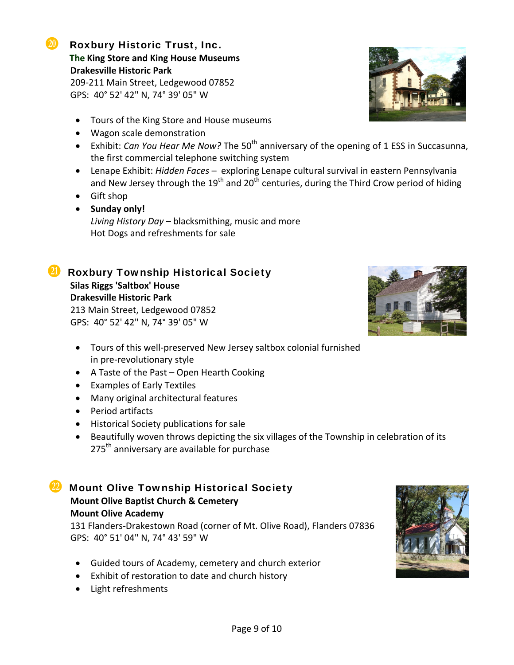#### **U** Roxbury Historic Trust, Inc.  **The King Store and King House Museums Drakesville Historic Park**

 209‐211 Main Street, Ledgewood 07852 GPS: 40° 52' 42" N, 74° 39' 05" W

- Tours of the King Store and House museums
- Wagon scale demonstration
- Exhibit: *Can You Hear Me Now?* The 50<sup>th</sup> anniversary of the opening of 1 ESS in Succasunna, the first commercial telephone switching system
- Lenape Exhibit: *Hidden Faces* exploring Lenape cultural survival in eastern Pennsylvania and New Jersey through the  $19<sup>th</sup>$  and  $20<sup>th</sup>$  centuries, during the Third Crow period of hiding
- Gift shop
- **Sunday only!** *Living History Day* – blacksmithing, music and more Hot Dogs and refreshments for sale

#### *A* Roxbury Township Historical Society  **Silas Riggs 'Saltbox' House Drakesville Historic Park**

 213 Main Street, Ledgewood 07852 GPS: 40° 52' 42" N, 74° 39' 05" W

- Tours of this well‐preserved New Jersey saltbox colonial furnished in pre‐revolutionary style
- A Taste of the Past Open Hearth Cooking
- Examples of Early Textiles
- Many original architectural features
- Period artifacts
- Historical Society publications for sale
- Beautifully woven throws depicting the six villages of the Township in celebration of its 275<sup>th</sup> anniversary are available for purchase

### **W** Mount Olive Township Historical Society  **Mount Olive Baptist Church & Cemetery Mount Olive Academy**

131 Flanders‐Drakestown Road (corner of Mt. Olive Road), Flanders 07836 GPS: 40° 51' 04" N, 74° 43' 59" W

- Guided tours of Academy, cemetery and church exterior
- Exhibit of restoration to date and church history
- Light refreshments